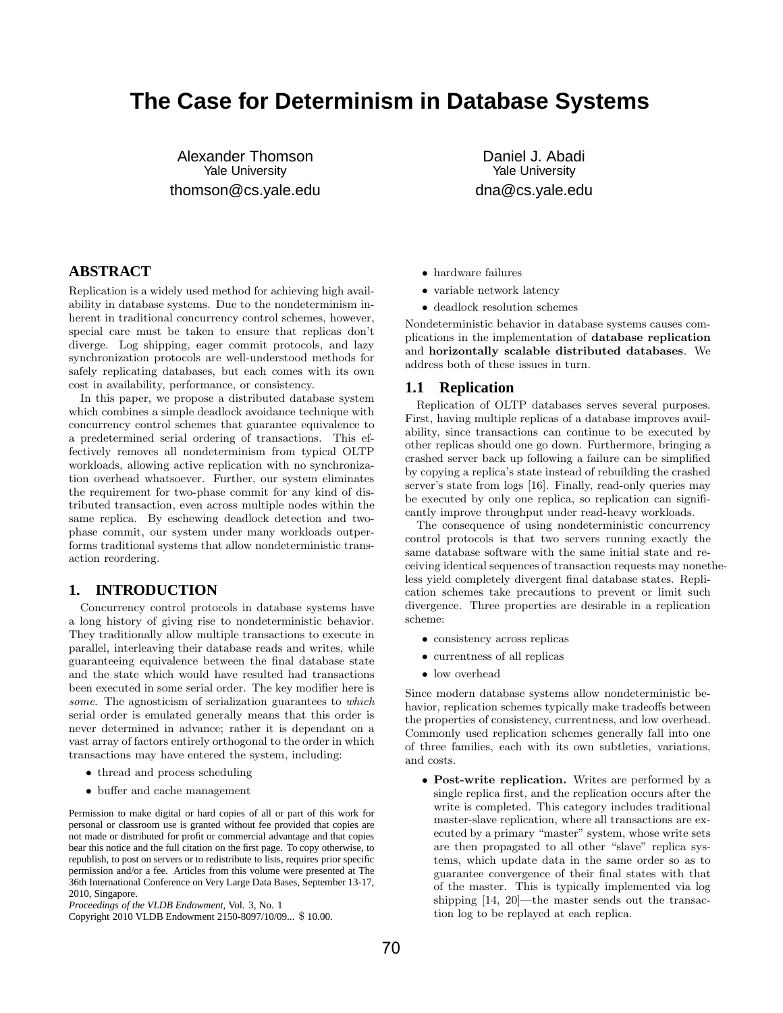# **The Case for Determinism in Database Systems**

Alexander Thomson Yale University thomson@cs.yale.edu

Daniel J. Abadi Yale University dna@cs.yale.edu

# **ABSTRACT**

Replication is a widely used method for achieving high availability in database systems. Due to the nondeterminism inherent in traditional concurrency control schemes, however, special care must be taken to ensure that replicas don't diverge. Log shipping, eager commit protocols, and lazy synchronization protocols are well-understood methods for safely replicating databases, but each comes with its own cost in availability, performance, or consistency.

In this paper, we propose a distributed database system which combines a simple deadlock avoidance technique with concurrency control schemes that guarantee equivalence to a predetermined serial ordering of transactions. This effectively removes all nondeterminism from typical OLTP workloads, allowing active replication with no synchronization overhead whatsoever. Further, our system eliminates the requirement for two-phase commit for any kind of distributed transaction, even across multiple nodes within the same replica. By eschewing deadlock detection and twophase commit, our system under many workloads outperforms traditional systems that allow nondeterministic transaction reordering.

# **1. INTRODUCTION**

Concurrency control protocols in database systems have a long history of giving rise to nondeterministic behavior. They traditionally allow multiple transactions to execute in parallel, interleaving their database reads and writes, while guaranteeing equivalence between the final database state and the state which would have resulted had transactions been executed in some serial order. The key modifier here is some. The agnosticism of serialization guarantees to which serial order is emulated generally means that this order is never determined in advance; rather it is dependant on a vast array of factors entirely orthogonal to the order in which transactions may have entered the system, including:

- thread and process scheduling
- buffer and cache management

Permission to make digital or hard copies of all or part of this work for personal or classroom use is granted without fee provided that copies are not made or distributed for profit or commercial advantage and that copies bear this notice and the full citation on the first page. To copy otherwise, to republish, to post on servers or to redistribute to lists, requires prior specific permission and/or a fee. Articles from this volume were presented at The 36th International Conference on Very Large Data Bases, September 13-17, 2010, Singapore.

Copyright 2010 VLDB Endowment 2150-8097/10/09... \$ 10.00.

- hardware failures
- variable network latency
- deadlock resolution schemes

Nondeterministic behavior in database systems causes complications in the implementation of database replication and horizontally scalable distributed databases. We address both of these issues in turn.

#### **1.1 Replication**

Replication of OLTP databases serves several purposes. First, having multiple replicas of a database improves availability, since transactions can continue to be executed by other replicas should one go down. Furthermore, bringing a crashed server back up following a failure can be simplified by copying a replica's state instead of rebuilding the crashed server's state from logs [16]. Finally, read-only queries may be executed by only one replica, so replication can significantly improve throughput under read-heavy workloads.

The consequence of using nondeterministic concurrency control protocols is that two servers running exactly the same database software with the same initial state and receiving identical sequences of transaction requests may nonetheless yield completely divergent final database states. Replication schemes take precautions to prevent or limit such divergence. Three properties are desirable in a replication scheme:

- consistency across replicas
- currentness of all replicas
- low overhead

Since modern database systems allow nondeterministic behavior, replication schemes typically make tradeoffs between the properties of consistency, currentness, and low overhead. Commonly used replication schemes generally fall into one of three families, each with its own subtleties, variations, and costs.

• Post-write replication. Writes are performed by a single replica first, and the replication occurs after the write is completed. This category includes traditional master-slave replication, where all transactions are executed by a primary "master" system, whose write sets are then propagated to all other "slave" replica systems, which update data in the same order so as to guarantee convergence of their final states with that of the master. This is typically implemented via log shipping [14, 20]—the master sends out the transaction log to be replayed at each replica.

*Proceedings of the VLDB Endowment,* Vol. 3, No. 1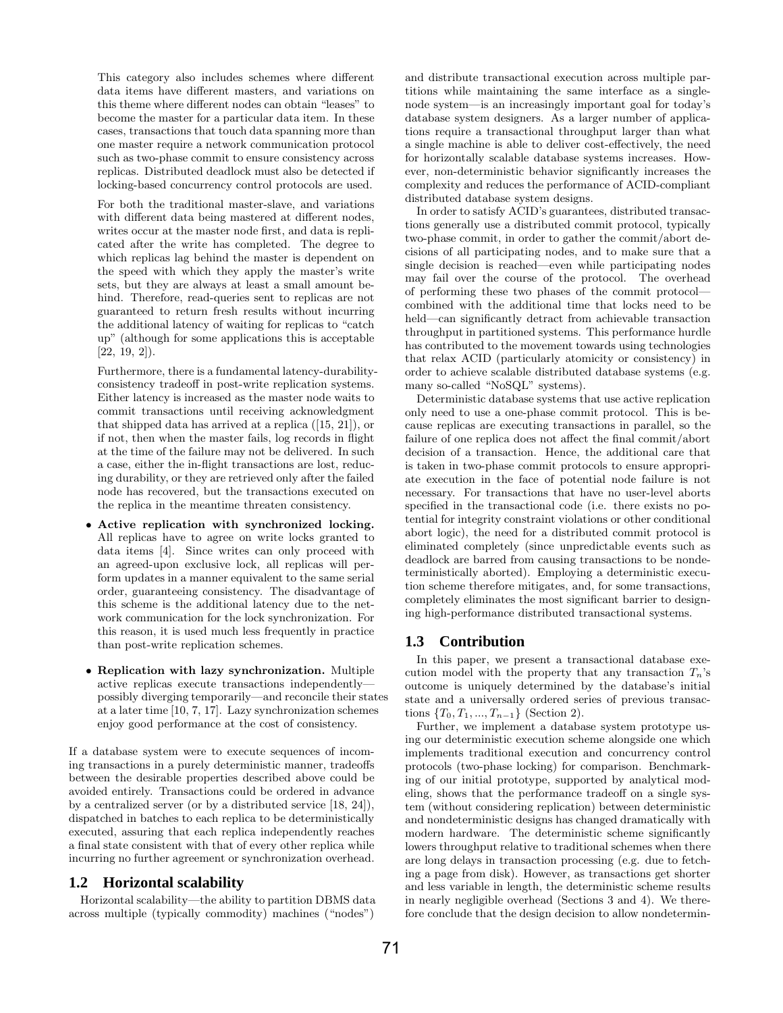This category also includes schemes where different data items have different masters, and variations on this theme where different nodes can obtain "leases" to become the master for a particular data item. In these cases, transactions that touch data spanning more than one master require a network communication protocol such as two-phase commit to ensure consistency across replicas. Distributed deadlock must also be detected if locking-based concurrency control protocols are used.

For both the traditional master-slave, and variations with different data being mastered at different nodes, writes occur at the master node first, and data is replicated after the write has completed. The degree to which replicas lag behind the master is dependent on the speed with which they apply the master's write sets, but they are always at least a small amount behind. Therefore, read-queries sent to replicas are not guaranteed to return fresh results without incurring the additional latency of waiting for replicas to "catch up" (although for some applications this is acceptable [22, 19, 2]).

Furthermore, there is a fundamental latency-durabilityconsistency tradeoff in post-write replication systems. Either latency is increased as the master node waits to commit transactions until receiving acknowledgment that shipped data has arrived at a replica ([15, 21]), or if not, then when the master fails, log records in flight at the time of the failure may not be delivered. In such a case, either the in-flight transactions are lost, reducing durability, or they are retrieved only after the failed node has recovered, but the transactions executed on the replica in the meantime threaten consistency.

- Active replication with synchronized locking. All replicas have to agree on write locks granted to data items [4]. Since writes can only proceed with an agreed-upon exclusive lock, all replicas will perform updates in a manner equivalent to the same serial order, guaranteeing consistency. The disadvantage of this scheme is the additional latency due to the network communication for the lock synchronization. For this reason, it is used much less frequently in practice than post-write replication schemes.
- Replication with lazy synchronization. Multiple active replicas execute transactions independently possibly diverging temporarily—and reconcile their states at a later time [10, 7, 17]. Lazy synchronization schemes enjoy good performance at the cost of consistency.

If a database system were to execute sequences of incoming transactions in a purely deterministic manner, tradeoffs between the desirable properties described above could be avoided entirely. Transactions could be ordered in advance by a centralized server (or by a distributed service [18, 24]), dispatched in batches to each replica to be deterministically executed, assuring that each replica independently reaches a final state consistent with that of every other replica while incurring no further agreement or synchronization overhead.

#### **1.2 Horizontal scalability**

Horizontal scalability—the ability to partition DBMS data across multiple (typically commodity) machines ("nodes")

and distribute transactional execution across multiple partitions while maintaining the same interface as a singlenode system—is an increasingly important goal for today's database system designers. As a larger number of applications require a transactional throughput larger than what a single machine is able to deliver cost-effectively, the need for horizontally scalable database systems increases. However, non-deterministic behavior significantly increases the complexity and reduces the performance of ACID-compliant distributed database system designs.

In order to satisfy ACID's guarantees, distributed transactions generally use a distributed commit protocol, typically two-phase commit, in order to gather the commit/abort decisions of all participating nodes, and to make sure that a single decision is reached—even while participating nodes may fail over the course of the protocol. The overhead of performing these two phases of the commit protocol combined with the additional time that locks need to be held—can significantly detract from achievable transaction throughput in partitioned systems. This performance hurdle has contributed to the movement towards using technologies that relax ACID (particularly atomicity or consistency) in order to achieve scalable distributed database systems (e.g. many so-called "NoSQL" systems).

Deterministic database systems that use active replication only need to use a one-phase commit protocol. This is because replicas are executing transactions in parallel, so the failure of one replica does not affect the final commit/abort decision of a transaction. Hence, the additional care that is taken in two-phase commit protocols to ensure appropriate execution in the face of potential node failure is not necessary. For transactions that have no user-level aborts specified in the transactional code (i.e. there exists no potential for integrity constraint violations or other conditional abort logic), the need for a distributed commit protocol is eliminated completely (since unpredictable events such as deadlock are barred from causing transactions to be nondeterministically aborted). Employing a deterministic execution scheme therefore mitigates, and, for some transactions, completely eliminates the most significant barrier to designing high-performance distributed transactional systems.

#### **1.3 Contribution**

In this paper, we present a transactional database execution model with the property that any transaction  $T_n$ 's outcome is uniquely determined by the database's initial state and a universally ordered series of previous transactions  $\{T_0, T_1, ..., T_{n-1}\}$  (Section 2).

Further, we implement a database system prototype using our deterministic execution scheme alongside one which implements traditional execution and concurrency control protocols (two-phase locking) for comparison. Benchmarking of our initial prototype, supported by analytical modeling, shows that the performance tradeoff on a single system (without considering replication) between deterministic and nondeterministic designs has changed dramatically with modern hardware. The deterministic scheme significantly lowers throughput relative to traditional schemes when there are long delays in transaction processing (e.g. due to fetching a page from disk). However, as transactions get shorter and less variable in length, the deterministic scheme results in nearly negligible overhead (Sections 3 and 4). We therefore conclude that the design decision to allow nondetermin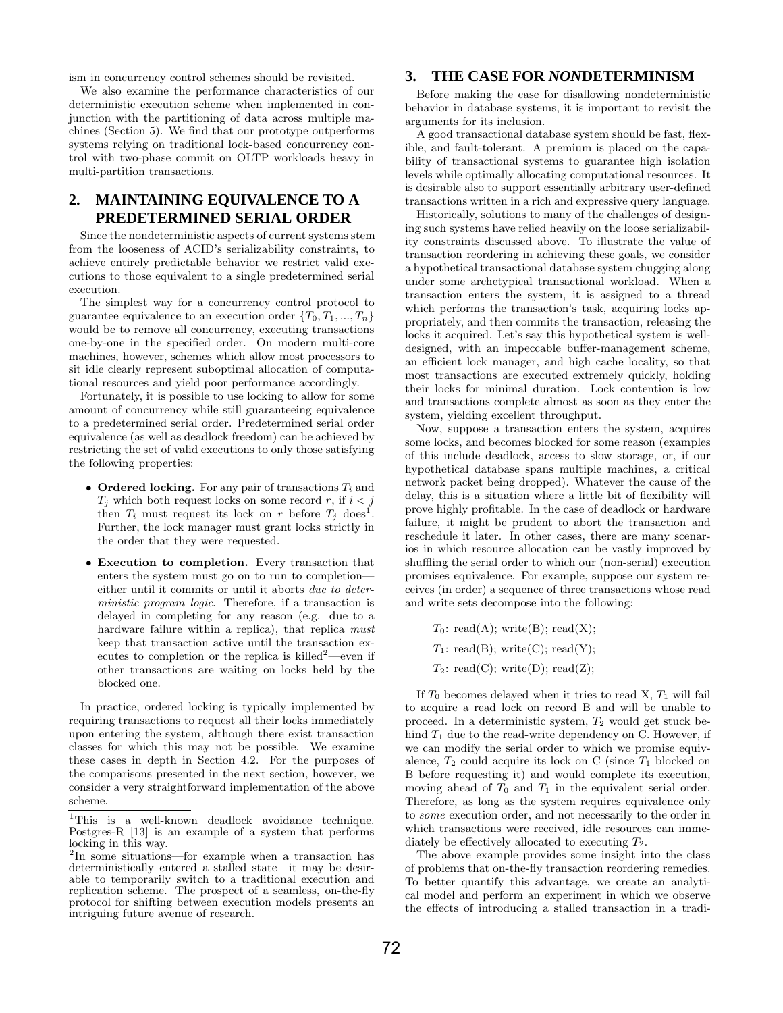ism in concurrency control schemes should be revisited.

We also examine the performance characteristics of our deterministic execution scheme when implemented in conjunction with the partitioning of data across multiple machines (Section 5). We find that our prototype outperforms systems relying on traditional lock-based concurrency control with two-phase commit on OLTP workloads heavy in multi-partition transactions.

# **2. MAINTAINING EQUIVALENCE TO A PREDETERMINED SERIAL ORDER**

Since the nondeterministic aspects of current systems stem from the looseness of ACID's serializability constraints, to achieve entirely predictable behavior we restrict valid executions to those equivalent to a single predetermined serial execution.

The simplest way for a concurrency control protocol to guarantee equivalence to an execution order  $\{T_0, T_1, ..., T_n\}$ would be to remove all concurrency, executing transactions one-by-one in the specified order. On modern multi-core machines, however, schemes which allow most processors to sit idle clearly represent suboptimal allocation of computational resources and yield poor performance accordingly.

Fortunately, it is possible to use locking to allow for some amount of concurrency while still guaranteeing equivalence to a predetermined serial order. Predetermined serial order equivalence (as well as deadlock freedom) can be achieved by restricting the set of valid executions to only those satisfying the following properties:

- Ordered locking. For any pair of transactions  $T_i$  and  $T_j$  which both request locks on some record r, if  $i < j$ then  $T_i$  must request its lock on r before  $T_j$  does<sup>1</sup>. Further, the lock manager must grant locks strictly in the order that they were requested.
- Execution to completion. Every transaction that enters the system must go on to run to completion either until it commits or until it aborts due to deterministic program logic. Therefore, if a transaction is delayed in completing for any reason (e.g. due to a hardware failure within a replica), that replica must keep that transaction active until the transaction executes to completion or the replica is killed<sup>2</sup>—even if other transactions are waiting on locks held by the blocked one.

In practice, ordered locking is typically implemented by requiring transactions to request all their locks immediately upon entering the system, although there exist transaction classes for which this may not be possible. We examine these cases in depth in Section 4.2. For the purposes of the comparisons presented in the next section, however, we consider a very straightforward implementation of the above scheme.

# **3. THE CASE FOR** *NON***DETERMINISM**

Before making the case for disallowing nondeterministic behavior in database systems, it is important to revisit the arguments for its inclusion.

A good transactional database system should be fast, flexible, and fault-tolerant. A premium is placed on the capability of transactional systems to guarantee high isolation levels while optimally allocating computational resources. It is desirable also to support essentially arbitrary user-defined transactions written in a rich and expressive query language.

Historically, solutions to many of the challenges of designing such systems have relied heavily on the loose serializability constraints discussed above. To illustrate the value of transaction reordering in achieving these goals, we consider a hypothetical transactional database system chugging along under some archetypical transactional workload. When a transaction enters the system, it is assigned to a thread which performs the transaction's task, acquiring locks appropriately, and then commits the transaction, releasing the locks it acquired. Let's say this hypothetical system is welldesigned, with an impeccable buffer-management scheme, an efficient lock manager, and high cache locality, so that most transactions are executed extremely quickly, holding their locks for minimal duration. Lock contention is low and transactions complete almost as soon as they enter the system, yielding excellent throughput.

Now, suppose a transaction enters the system, acquires some locks, and becomes blocked for some reason (examples of this include deadlock, access to slow storage, or, if our hypothetical database spans multiple machines, a critical network packet being dropped). Whatever the cause of the delay, this is a situation where a little bit of flexibility will prove highly profitable. In the case of deadlock or hardware failure, it might be prudent to abort the transaction and reschedule it later. In other cases, there are many scenarios in which resource allocation can be vastly improved by shuffling the serial order to which our (non-serial) execution promises equivalence. For example, suppose our system receives (in order) a sequence of three transactions whose read and write sets decompose into the following:

 $T_0$ : read(A); write(B); read(X);  $T_1$ : read(B); write(C); read(Y);  $T_2$ : read(C); write(D); read(Z);

If  $T_0$  becomes delayed when it tries to read  $X$ ,  $T_1$  will fail to acquire a read lock on record B and will be unable to proceed. In a deterministic system,  $T_2$  would get stuck behind  $T_1$  due to the read-write dependency on C. However, if we can modify the serial order to which we promise equivalence,  $T_2$  could acquire its lock on C (since  $T_1$  blocked on B before requesting it) and would complete its execution, moving ahead of  $T_0$  and  $T_1$  in the equivalent serial order. Therefore, as long as the system requires equivalence only to some execution order, and not necessarily to the order in which transactions were received, idle resources can immediately be effectively allocated to executing  $T_2$ .

The above example provides some insight into the class of problems that on-the-fly transaction reordering remedies. To better quantify this advantage, we create an analytical model and perform an experiment in which we observe the effects of introducing a stalled transaction in a tradi-

 $1$ This is a well-known deadlock avoidance technique. Postgres-R [13] is an example of a system that performs locking in this way.

<sup>2</sup> In some situations—for example when a transaction has deterministically entered a stalled state—it may be desirable to temporarily switch to a traditional execution and replication scheme. The prospect of a seamless, on-the-fly protocol for shifting between execution models presents an intriguing future avenue of research.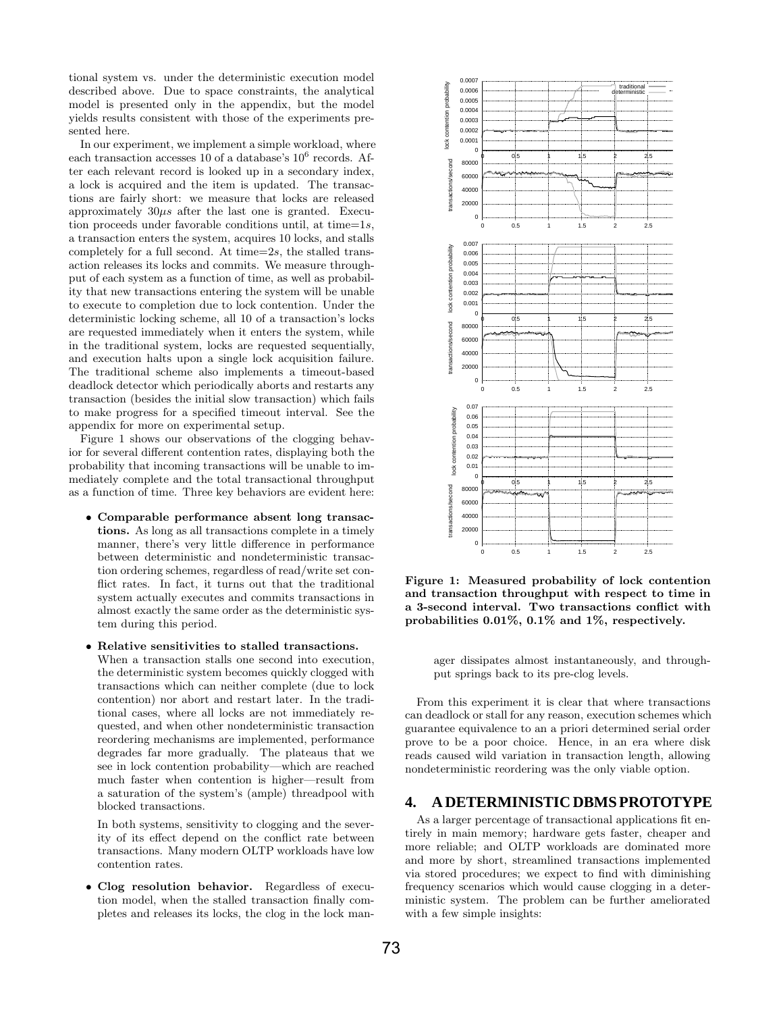tional system vs. under the deterministic execution model described above. Due to space constraints, the analytical model is presented only in the appendix, but the model yields results consistent with those of the experiments presented here.

In our experiment, we implement a simple workload, where each transaction accesses 10 of a database's  $10^6$  records. After each relevant record is looked up in a secondary index, a lock is acquired and the item is updated. The transactions are fairly short: we measure that locks are released approximately  $30\mu s$  after the last one is granted. Execution proceeds under favorable conditions until, at time=1s, a transaction enters the system, acquires 10 locks, and stalls completely for a full second. At time= $2s$ , the stalled transaction releases its locks and commits. We measure throughput of each system as a function of time, as well as probability that new transactions entering the system will be unable to execute to completion due to lock contention. Under the deterministic locking scheme, all 10 of a transaction's locks are requested immediately when it enters the system, while in the traditional system, locks are requested sequentially, and execution halts upon a single lock acquisition failure. The traditional scheme also implements a timeout-based deadlock detector which periodically aborts and restarts any transaction (besides the initial slow transaction) which fails to make progress for a specified timeout interval. See the appendix for more on experimental setup.

Figure 1 shows our observations of the clogging behavior for several different contention rates, displaying both the probability that incoming transactions will be unable to immediately complete and the total transactional throughput as a function of time. Three key behaviors are evident here:

- Comparable performance absent long transactions. As long as all transactions complete in a timely manner, there's very little difference in performance between deterministic and nondeterministic transaction ordering schemes, regardless of read/write set conflict rates. In fact, it turns out that the traditional system actually executes and commits transactions in almost exactly the same order as the deterministic system during this period.
- Relative sensitivities to stalled transactions.

When a transaction stalls one second into execution, the deterministic system becomes quickly clogged with transactions which can neither complete (due to lock contention) nor abort and restart later. In the traditional cases, where all locks are not immediately requested, and when other nondeterministic transaction reordering mechanisms are implemented, performance degrades far more gradually. The plateaus that we see in lock contention probability—which are reached much faster when contention is higher—result from a saturation of the system's (ample) threadpool with blocked transactions.

In both systems, sensitivity to clogging and the severity of its effect depend on the conflict rate between transactions. Many modern OLTP workloads have low contention rates.

• Clog resolution behavior. Regardless of execution model, when the stalled transaction finally completes and releases its locks, the clog in the lock man-



Figure 1: Measured probability of lock contention and transaction throughput with respect to time in a 3-second interval. Two transactions conflict with probabilities 0.01%, 0.1% and 1%, respectively.

ager dissipates almost instantaneously, and throughput springs back to its pre-clog levels.

From this experiment it is clear that where transactions can deadlock or stall for any reason, execution schemes which guarantee equivalence to an a priori determined serial order prove to be a poor choice. Hence, in an era where disk reads caused wild variation in transaction length, allowing nondeterministic reordering was the only viable option.

# **4. A DETERMINISTIC DBMS PROTOTYPE**

As a larger percentage of transactional applications fit entirely in main memory; hardware gets faster, cheaper and more reliable; and OLTP workloads are dominated more and more by short, streamlined transactions implemented via stored procedures; we expect to find with diminishing frequency scenarios which would cause clogging in a deterministic system. The problem can be further ameliorated with a few simple insights: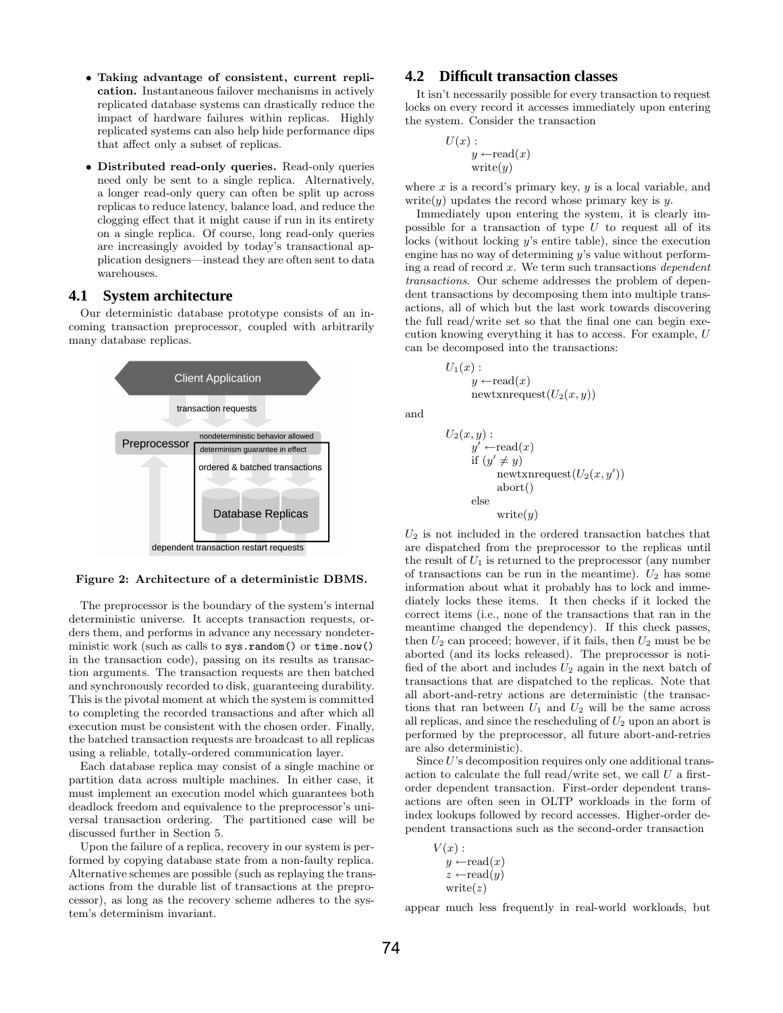- Taking advantage of consistent, current replication. Instantaneous failover mechanisms in actively replicated database systems can drastically reduce the impact of hardware failures within replicas. Highly replicated systems can also help hide performance dips that affect only a subset of replicas.
- Distributed read-only queries. Read-only queries need only be sent to a single replica. Alternatively, a longer read-only query can often be split up across replicas to reduce latency, balance load, and reduce the clogging effect that it might cause if run in its entirety on a single replica. Of course, long read-only queries are increasingly avoided by today's transactional application designers—instead they are often sent to data warehouses.

# **4.1 System architecture**

Our deterministic database prototype consists of an incoming transaction preprocessor, coupled with arbitrarily many database replicas.



Figure 2: Architecture of a deterministic DBMS.

The preprocessor is the boundary of the system's internal deterministic universe. It accepts transaction requests, orders them, and performs in advance any necessary nondeterministic work (such as calls to sys.random() or time.now() in the transaction code), passing on its results as transaction arguments. The transaction requests are then batched and synchronously recorded to disk, guaranteeing durability. This is the pivotal moment at which the system is committed to completing the recorded transactions and after which all execution must be consistent with the chosen order. Finally, the batched transaction requests are broadcast to all replicas using a reliable, totally-ordered communication layer.

Each database replica may consist of a single machine or partition data across multiple machines. In either case, it must implement an execution model which guarantees both deadlock freedom and equivalence to the preprocessor's universal transaction ordering. The partitioned case will be discussed further in Section 5.

Upon the failure of a replica, recovery in our system is performed by copying database state from a non-faulty replica. Alternative schemes are possible (such as replaying the transactions from the durable list of transactions at the preprocessor), as long as the recovery scheme adheres to the system's determinism invariant.

## **4.2 Difficult transaction classes**

It isn't necessarily possible for every transaction to request locks on every record it accesses immediately upon entering the system. Consider the transaction

$$
U(x):
$$
  
 $y \leftarrow \text{read}(x)$   
write $(y)$ 

where  $x$  is a record's primary key,  $y$  is a local variable, and write(y) updates the record whose primary key is y.

Immediately upon entering the system, it is clearly impossible for a transaction of type  $U$  to request all of its locks (without locking y's entire table), since the execution engine has no way of determining y's value without performing a read of record  $x$ . We term such transactions *dependent* transactions. Our scheme addresses the problem of dependent transactions by decomposing them into multiple transactions, all of which but the last work towards discovering the full read/write set so that the final one can begin execution knowing everything it has to access. For example, U can be decomposed into the transactions:

$$
(x):
$$
  
y ← read(x)  
newtxnrequest( $U_2(x, y)$ )

and

 $U_1$ 

$$
U_2(x, y):
$$
  
\n
$$
y' \leftarrow \text{read}(x)
$$
  
\nif  $(y' \neq y)$   
\n
$$
\text{newtrarequest}(U_2(x, y'))
$$
  
\n
$$
\text{abort}()
$$
  
\nelse  
\n
$$
\text{write}(y)
$$

 $U_2$  is not included in the ordered transaction batches that are dispatched from the preprocessor to the replicas until the result of  $U_1$  is returned to the preprocessor (any number of transactions can be run in the meantime).  $U_2$  has some information about what it probably has to lock and immediately locks these items. It then checks if it locked the correct items (i.e., none of the transactions that ran in the meantime changed the dependency). If this check passes, then  $U_2$  can proceed; however, if it fails, then  $U_2$  must be be aborted (and its locks released). The preprocessor is notified of the abort and includes  $U_2$  again in the next batch of transactions that are dispatched to the replicas. Note that all abort-and-retry actions are deterministic (the transactions that ran between  $U_1$  and  $U_2$  will be the same across all replicas, and since the rescheduling of  $U_2$  upon an abort is performed by the preprocessor, all future abort-and-retries are also deterministic).

Since  $U$ 's decomposition requires only one additional transaction to calculate the full read/write set, we call  $U$  a firstorder dependent transaction. First-order dependent transactions are often seen in OLTP workloads in the form of index lookups followed by record accesses. Higher-order dependent transactions such as the second-order transaction

```
V(x):
y \leftarrow \text{read}(x)z \leftarrow \text{read}(y)write(z)
```
appear much less frequently in real-world workloads, but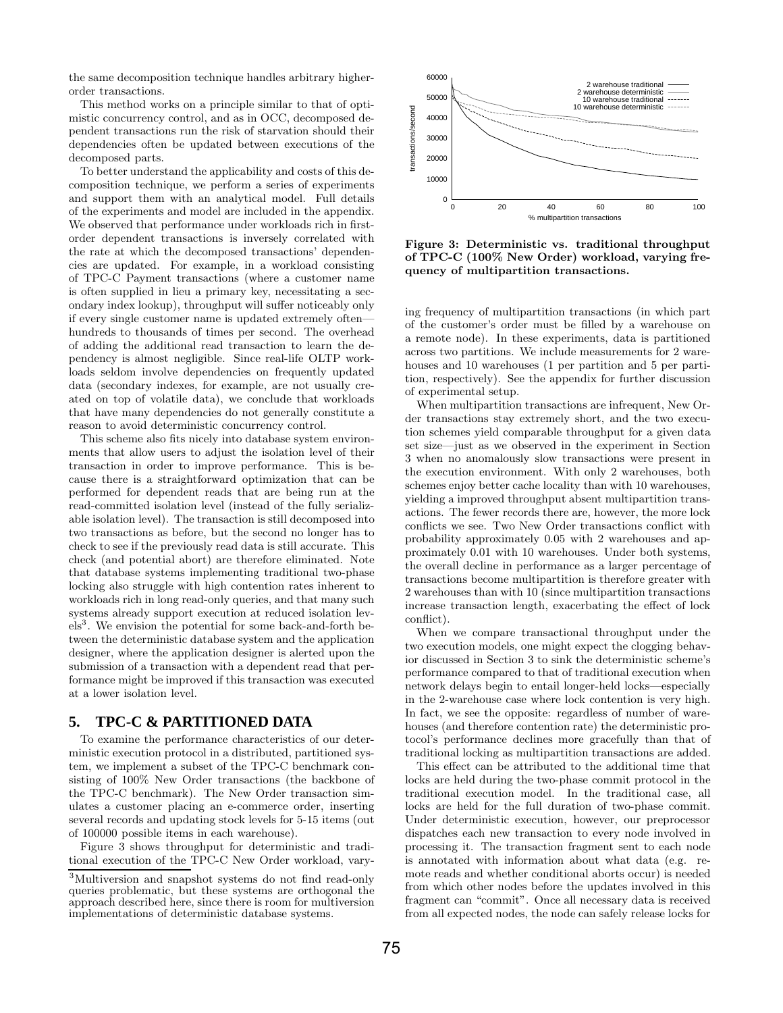the same decomposition technique handles arbitrary higherorder transactions.

This method works on a principle similar to that of optimistic concurrency control, and as in OCC, decomposed dependent transactions run the risk of starvation should their dependencies often be updated between executions of the decomposed parts.

To better understand the applicability and costs of this decomposition technique, we perform a series of experiments and support them with an analytical model. Full details of the experiments and model are included in the appendix. We observed that performance under workloads rich in firstorder dependent transactions is inversely correlated with the rate at which the decomposed transactions' dependencies are updated. For example, in a workload consisting of TPC-C Payment transactions (where a customer name is often supplied in lieu a primary key, necessitating a secondary index lookup), throughput will suffer noticeably only if every single customer name is updated extremely often hundreds to thousands of times per second. The overhead of adding the additional read transaction to learn the dependency is almost negligible. Since real-life OLTP workloads seldom involve dependencies on frequently updated data (secondary indexes, for example, are not usually created on top of volatile data), we conclude that workloads that have many dependencies do not generally constitute a reason to avoid deterministic concurrency control.

This scheme also fits nicely into database system environments that allow users to adjust the isolation level of their transaction in order to improve performance. This is because there is a straightforward optimization that can be performed for dependent reads that are being run at the read-committed isolation level (instead of the fully serializable isolation level). The transaction is still decomposed into two transactions as before, but the second no longer has to check to see if the previously read data is still accurate. This check (and potential abort) are therefore eliminated. Note that database systems implementing traditional two-phase locking also struggle with high contention rates inherent to workloads rich in long read-only queries, and that many such systems already support execution at reduced isolation levels<sup>3</sup>. We envision the potential for some back-and-forth between the deterministic database system and the application designer, where the application designer is alerted upon the submission of a transaction with a dependent read that performance might be improved if this transaction was executed at a lower isolation level.

### **5. TPC-C & PARTITIONED DATA**

To examine the performance characteristics of our deterministic execution protocol in a distributed, partitioned system, we implement a subset of the TPC-C benchmark consisting of 100% New Order transactions (the backbone of the TPC-C benchmark). The New Order transaction simulates a customer placing an e-commerce order, inserting several records and updating stock levels for 5-15 items (out of 100000 possible items in each warehouse).

Figure 3 shows throughput for deterministic and traditional execution of the TPC-C New Order workload, vary-



Figure 3: Deterministic vs. traditional throughput of TPC-C (100% New Order) workload, varying frequency of multipartition transactions.

ing frequency of multipartition transactions (in which part of the customer's order must be filled by a warehouse on a remote node). In these experiments, data is partitioned across two partitions. We include measurements for 2 warehouses and 10 warehouses (1 per partition and 5 per partition, respectively). See the appendix for further discussion of experimental setup.

When multipartition transactions are infrequent, New Order transactions stay extremely short, and the two execution schemes yield comparable throughput for a given data set size—just as we observed in the experiment in Section 3 when no anomalously slow transactions were present in the execution environment. With only 2 warehouses, both schemes enjoy better cache locality than with 10 warehouses, yielding a improved throughput absent multipartition transactions. The fewer records there are, however, the more lock conflicts we see. Two New Order transactions conflict with probability approximately 0.05 with 2 warehouses and approximately 0.01 with 10 warehouses. Under both systems, the overall decline in performance as a larger percentage of transactions become multipartition is therefore greater with 2 warehouses than with 10 (since multipartition transactions increase transaction length, exacerbating the effect of lock conflict).

When we compare transactional throughput under the two execution models, one might expect the clogging behavior discussed in Section 3 to sink the deterministic scheme's performance compared to that of traditional execution when network delays begin to entail longer-held locks—especially in the 2-warehouse case where lock contention is very high. In fact, we see the opposite: regardless of number of warehouses (and therefore contention rate) the deterministic protocol's performance declines more gracefully than that of traditional locking as multipartition transactions are added.

This effect can be attributed to the additional time that locks are held during the two-phase commit protocol in the traditional execution model. In the traditional case, all locks are held for the full duration of two-phase commit. Under deterministic execution, however, our preprocessor dispatches each new transaction to every node involved in processing it. The transaction fragment sent to each node is annotated with information about what data (e.g. remote reads and whether conditional aborts occur) is needed from which other nodes before the updates involved in this fragment can "commit". Once all necessary data is received from all expected nodes, the node can safely release locks for

<sup>3</sup>Multiversion and snapshot systems do not find read-only queries problematic, but these systems are orthogonal the approach described here, since there is room for multiversion implementations of deterministic database systems.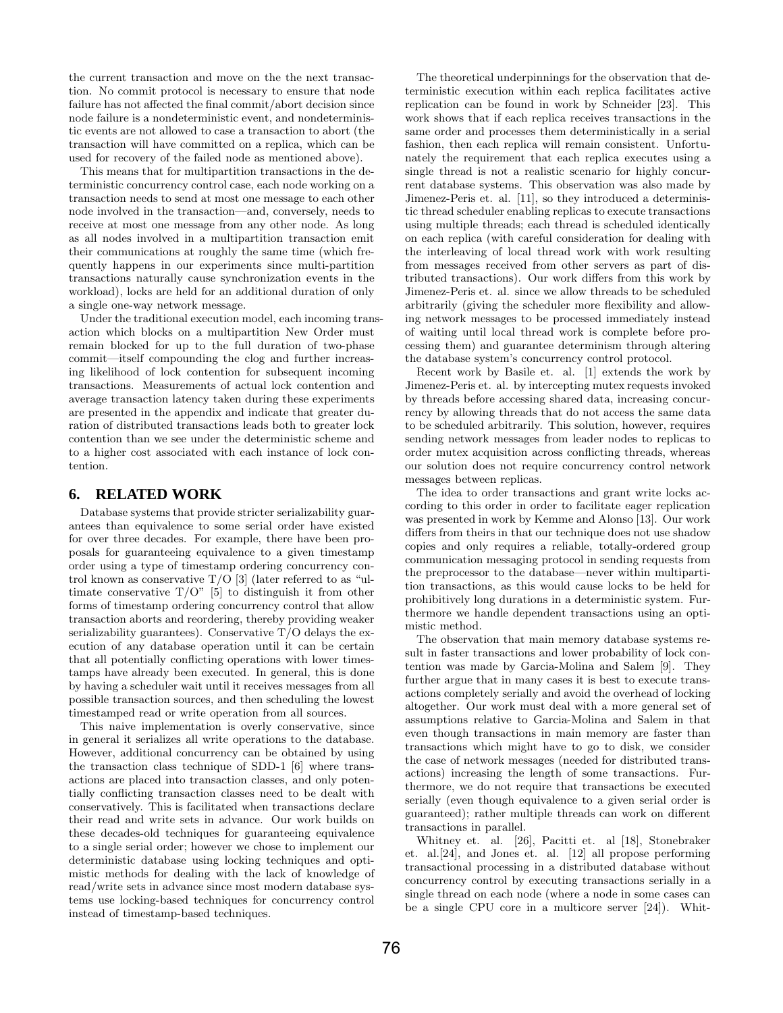the current transaction and move on the the next transaction. No commit protocol is necessary to ensure that node failure has not affected the final commit/abort decision since node failure is a nondeterministic event, and nondeterministic events are not allowed to case a transaction to abort (the transaction will have committed on a replica, which can be used for recovery of the failed node as mentioned above).

This means that for multipartition transactions in the deterministic concurrency control case, each node working on a transaction needs to send at most one message to each other node involved in the transaction—and, conversely, needs to receive at most one message from any other node. As long as all nodes involved in a multipartition transaction emit their communications at roughly the same time (which frequently happens in our experiments since multi-partition transactions naturally cause synchronization events in the workload), locks are held for an additional duration of only a single one-way network message.

Under the traditional execution model, each incoming transaction which blocks on a multipartition New Order must remain blocked for up to the full duration of two-phase commit—itself compounding the clog and further increasing likelihood of lock contention for subsequent incoming transactions. Measurements of actual lock contention and average transaction latency taken during these experiments are presented in the appendix and indicate that greater duration of distributed transactions leads both to greater lock contention than we see under the deterministic scheme and to a higher cost associated with each instance of lock contention.

## **6. RELATED WORK**

Database systems that provide stricter serializability guarantees than equivalence to some serial order have existed for over three decades. For example, there have been proposals for guaranteeing equivalence to a given timestamp order using a type of timestamp ordering concurrency control known as conservative T/O [3] (later referred to as "ultimate conservative  $T/O$ " [5] to distinguish it from other forms of timestamp ordering concurrency control that allow transaction aborts and reordering, thereby providing weaker serializability guarantees). Conservative  $T/O$  delays the execution of any database operation until it can be certain that all potentially conflicting operations with lower timestamps have already been executed. In general, this is done by having a scheduler wait until it receives messages from all possible transaction sources, and then scheduling the lowest timestamped read or write operation from all sources.

This naive implementation is overly conservative, since in general it serializes all write operations to the database. However, additional concurrency can be obtained by using the transaction class technique of SDD-1 [6] where transactions are placed into transaction classes, and only potentially conflicting transaction classes need to be dealt with conservatively. This is facilitated when transactions declare their read and write sets in advance. Our work builds on these decades-old techniques for guaranteeing equivalence to a single serial order; however we chose to implement our deterministic database using locking techniques and optimistic methods for dealing with the lack of knowledge of read/write sets in advance since most modern database systems use locking-based techniques for concurrency control instead of timestamp-based techniques.

The theoretical underpinnings for the observation that deterministic execution within each replica facilitates active replication can be found in work by Schneider [23]. This work shows that if each replica receives transactions in the same order and processes them deterministically in a serial fashion, then each replica will remain consistent. Unfortunately the requirement that each replica executes using a single thread is not a realistic scenario for highly concurrent database systems. This observation was also made by Jimenez-Peris et. al. [11], so they introduced a deterministic thread scheduler enabling replicas to execute transactions using multiple threads; each thread is scheduled identically on each replica (with careful consideration for dealing with the interleaving of local thread work with work resulting from messages received from other servers as part of distributed transactions). Our work differs from this work by Jimenez-Peris et. al. since we allow threads to be scheduled arbitrarily (giving the scheduler more flexibility and allowing network messages to be processed immediately instead of waiting until local thread work is complete before processing them) and guarantee determinism through altering the database system's concurrency control protocol.

Recent work by Basile et. al. [1] extends the work by Jimenez-Peris et. al. by intercepting mutex requests invoked by threads before accessing shared data, increasing concurrency by allowing threads that do not access the same data to be scheduled arbitrarily. This solution, however, requires sending network messages from leader nodes to replicas to order mutex acquisition across conflicting threads, whereas our solution does not require concurrency control network messages between replicas.

The idea to order transactions and grant write locks according to this order in order to facilitate eager replication was presented in work by Kemme and Alonso [13]. Our work differs from theirs in that our technique does not use shadow copies and only requires a reliable, totally-ordered group communication messaging protocol in sending requests from the preprocessor to the database—never within multipartition transactions, as this would cause locks to be held for prohibitively long durations in a deterministic system. Furthermore we handle dependent transactions using an optimistic method.

The observation that main memory database systems result in faster transactions and lower probability of lock contention was made by Garcia-Molina and Salem [9]. They further argue that in many cases it is best to execute transactions completely serially and avoid the overhead of locking altogether. Our work must deal with a more general set of assumptions relative to Garcia-Molina and Salem in that even though transactions in main memory are faster than transactions which might have to go to disk, we consider the case of network messages (needed for distributed transactions) increasing the length of some transactions. Furthermore, we do not require that transactions be executed serially (even though equivalence to a given serial order is guaranteed); rather multiple threads can work on different transactions in parallel.

Whitney et. al. [26], Pacitti et. al [18], Stonebraker et. al.[24], and Jones et. al. [12] all propose performing transactional processing in a distributed database without concurrency control by executing transactions serially in a single thread on each node (where a node in some cases can be a single CPU core in a multicore server [24]). Whit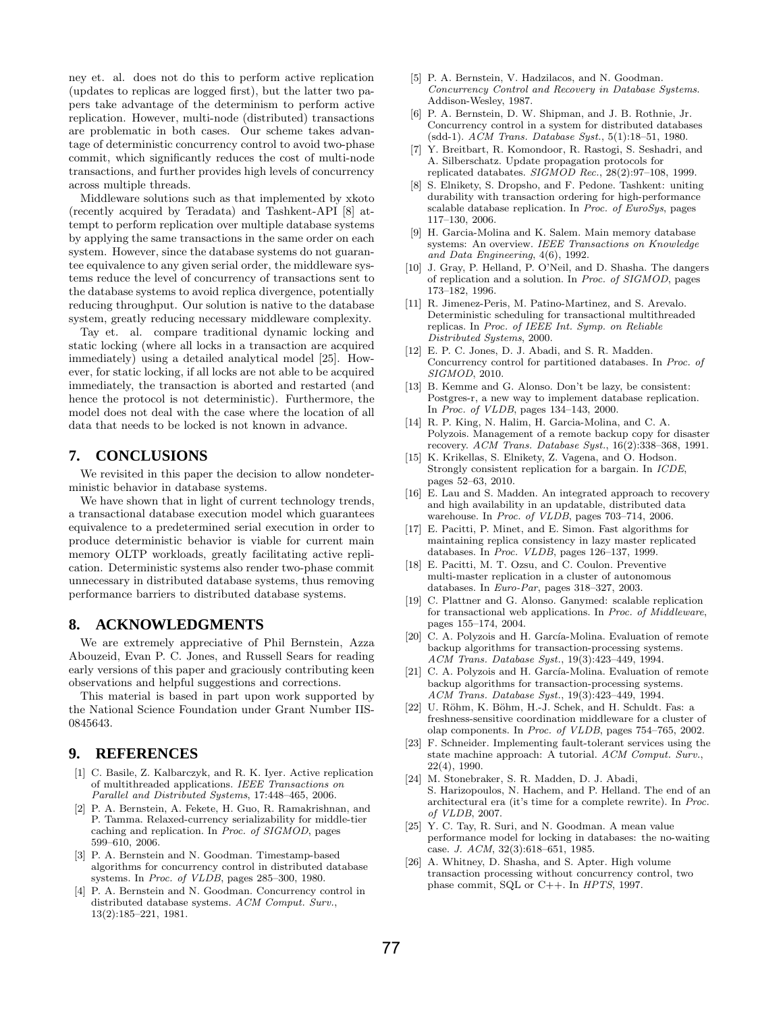ney et. al. does not do this to perform active replication (updates to replicas are logged first), but the latter two papers take advantage of the determinism to perform active replication. However, multi-node (distributed) transactions are problematic in both cases. Our scheme takes advantage of deterministic concurrency control to avoid two-phase commit, which significantly reduces the cost of multi-node transactions, and further provides high levels of concurrency across multiple threads.

Middleware solutions such as that implemented by xkoto (recently acquired by Teradata) and Tashkent-API [8] attempt to perform replication over multiple database systems by applying the same transactions in the same order on each system. However, since the database systems do not guarantee equivalence to any given serial order, the middleware systems reduce the level of concurrency of transactions sent to the database systems to avoid replica divergence, potentially reducing throughput. Our solution is native to the database system, greatly reducing necessary middleware complexity.

Tay et. al. compare traditional dynamic locking and static locking (where all locks in a transaction are acquired immediately) using a detailed analytical model [25]. However, for static locking, if all locks are not able to be acquired immediately, the transaction is aborted and restarted (and hence the protocol is not deterministic). Furthermore, the model does not deal with the case where the location of all data that needs to be locked is not known in advance.

# **7. CONCLUSIONS**

We revisited in this paper the decision to allow nondeterministic behavior in database systems.

We have shown that in light of current technology trends, a transactional database execution model which guarantees equivalence to a predetermined serial execution in order to produce deterministic behavior is viable for current main memory OLTP workloads, greatly facilitating active replication. Deterministic systems also render two-phase commit unnecessary in distributed database systems, thus removing performance barriers to distributed database systems.

## **8. ACKNOWLEDGMENTS**

We are extremely appreciative of Phil Bernstein, Azza Abouzeid, Evan P. C. Jones, and Russell Sears for reading early versions of this paper and graciously contributing keen observations and helpful suggestions and corrections.

This material is based in part upon work supported by the National Science Foundation under Grant Number IIS-0845643.

### **9. REFERENCES**

- [1] C. Basile, Z. Kalbarczyk, and R. K. Iyer. Active replication of multithreaded applications. IEEE Transactions on Parallel and Distributed Systems, 17:448–465, 2006.
- [2] P. A. Bernstein, A. Fekete, H. Guo, R. Ramakrishnan, and P. Tamma. Relaxed-currency serializability for middle-tier caching and replication. In Proc. of SIGMOD, pages 599–610, 2006.
- [3] P. A. Bernstein and N. Goodman. Timestamp-based algorithms for concurrency control in distributed database systems. In Proc. of VLDB, pages 285–300, 1980.
- [4] P. A. Bernstein and N. Goodman. Concurrency control in distributed database systems. ACM Comput. Surv., 13(2):185–221, 1981.
- [5] P. A. Bernstein, V. Hadzilacos, and N. Goodman. Concurrency Control and Recovery in Database Systems. Addison-Wesley, 1987.
- [6] P. A. Bernstein, D. W. Shipman, and J. B. Rothnie, Jr. Concurrency control in a system for distributed databases (sdd-1). ACM Trans. Database Syst., 5(1):18–51, 1980.
- [7] Y. Breitbart, R. Komondoor, R. Rastogi, S. Seshadri, and A. Silberschatz. Update propagation protocols for replicated databates. SIGMOD Rec., 28(2):97–108, 1999.
- [8] S. Elnikety, S. Dropsho, and F. Pedone. Tashkent: uniting durability with transaction ordering for high-performance scalable database replication. In Proc. of EuroSys, pages 117–130, 2006.
- [9] H. Garcia-Molina and K. Salem. Main memory database systems: An overview. IEEE Transactions on Knowledge and Data Engineering, 4(6), 1992.
- [10] J. Gray, P. Helland, P. O'Neil, and D. Shasha. The dangers of replication and a solution. In Proc. of SIGMOD, pages 173–182, 1996.
- [11] R. Jimenez-Peris, M. Patino-Martinez, and S. Arevalo. Deterministic scheduling for transactional multithreaded replicas. In Proc. of IEEE Int. Symp. on Reliable Distributed Systems, 2000.
- [12] E. P. C. Jones, D. J. Abadi, and S. R. Madden. Concurrency control for partitioned databases. In Proc. of SIGMOD, 2010.
- [13] B. Kemme and G. Alonso. Don't be lazy, be consistent: Postgres-r, a new way to implement database replication. In Proc. of VLDB, pages 134–143, 2000.
- [14] R. P. King, N. Halim, H. Garcia-Molina, and C. A. Polyzois. Management of a remote backup copy for disaster recovery. ACM Trans. Database Syst., 16(2):338–368, 1991.
- [15] K. Krikellas, S. Elnikety, Z. Vagena, and O. Hodson. Strongly consistent replication for a bargain. In ICDE, pages 52–63, 2010.
- [16] E. Lau and S. Madden. An integrated approach to recovery and high availability in an updatable, distributed data warehouse. In Proc. of VLDB, pages 703–714, 2006.
- [17] E. Pacitti, P. Minet, and E. Simon. Fast algorithms for maintaining replica consistency in lazy master replicated databases. In Proc. VLDB, pages 126–137, 1999.
- [18] E. Pacitti, M. T. Ozsu, and C. Coulon. Preventive multi-master replication in a cluster of autonomous databases. In Euro-Par, pages 318–327, 2003.
- [19] C. Plattner and G. Alonso. Ganymed: scalable replication for transactional web applications. In Proc. of Middleware, pages 155–174, 2004.
- [20] C. A. Polyzois and H. García-Molina. Evaluation of remote backup algorithms for transaction-processing systems. ACM Trans. Database Syst., 19(3):423–449, 1994.
- [21] C. A. Polyzois and H. García-Molina. Evaluation of remote backup algorithms for transaction-processing systems. ACM Trans. Database Syst., 19(3):423–449, 1994.
- [22] U. Röhm, K. Böhm, H.-J. Schek, and H. Schuldt. Fas: a freshness-sensitive coordination middleware for a cluster of olap components. In Proc. of VLDB, pages 754–765, 2002.
- [23] F. Schneider. Implementing fault-tolerant services using the state machine approach: A tutorial. ACM Comput. Surv., 22(4), 1990.
- [24] M. Stonebraker, S. R. Madden, D. J. Abadi, S. Harizopoulos, N. Hachem, and P. Helland. The end of an architectural era (it's time for a complete rewrite). In Proc. of VLDB, 2007.
- [25] Y. C. Tay, R. Suri, and N. Goodman. A mean value performance model for locking in databases: the no-waiting case. J. ACM, 32(3):618–651, 1985.
- [26] A. Whitney, D. Shasha, and S. Apter. High volume transaction processing without concurrency control, two phase commit, SQL or C++. In HPTS, 1997.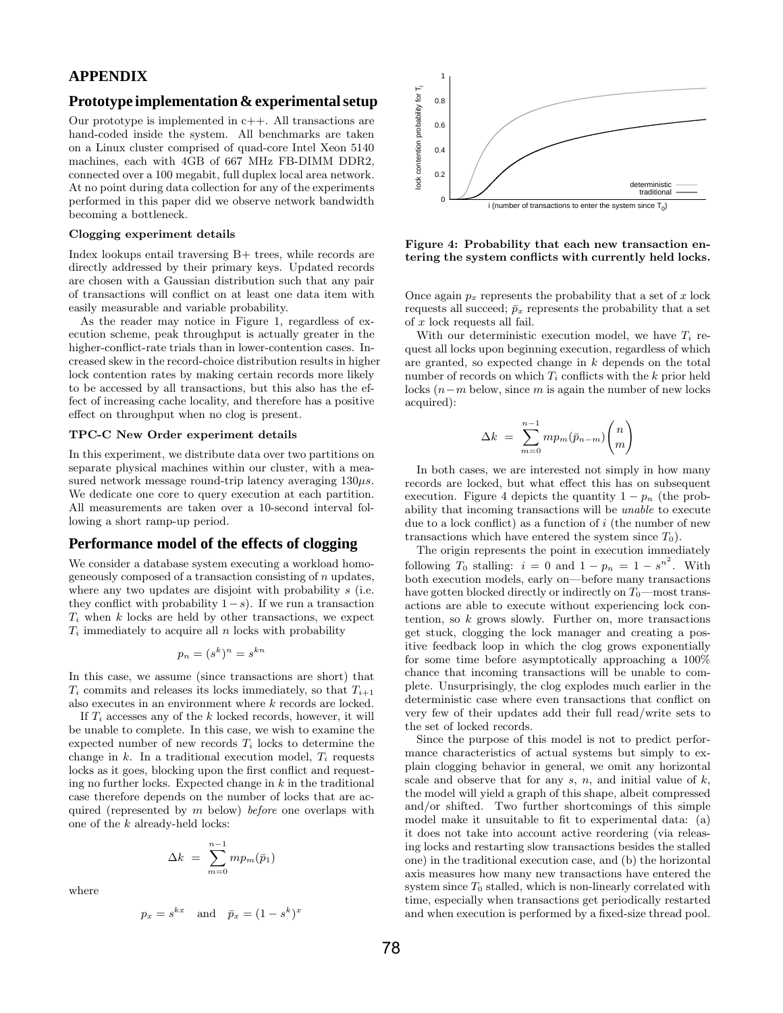# **APPENDIX**

## **Prototype implementation & experimental setup**

Our prototype is implemented in  $c++$ . All transactions are hand-coded inside the system. All benchmarks are taken on a Linux cluster comprised of quad-core Intel Xeon 5140 machines, each with 4GB of 667 MHz FB-DIMM DDR2, connected over a 100 megabit, full duplex local area network. At no point during data collection for any of the experiments performed in this paper did we observe network bandwidth becoming a bottleneck.

#### Clogging experiment details

Index lookups entail traversing B+ trees, while records are directly addressed by their primary keys. Updated records are chosen with a Gaussian distribution such that any pair of transactions will conflict on at least one data item with easily measurable and variable probability.

As the reader may notice in Figure 1, regardless of execution scheme, peak throughput is actually greater in the higher-conflict-rate trials than in lower-contention cases. Increased skew in the record-choice distribution results in higher lock contention rates by making certain records more likely to be accessed by all transactions, but this also has the effect of increasing cache locality, and therefore has a positive effect on throughput when no clog is present.

#### TPC-C New Order experiment details

In this experiment, we distribute data over two partitions on separate physical machines within our cluster, with a measured network message round-trip latency averaging  $130\mu s$ . We dedicate one core to query execution at each partition. All measurements are taken over a 10-second interval following a short ramp-up period.

### **Performance model of the effects of clogging**

We consider a database system executing a workload homogeneously composed of a transaction consisting of  $n$  updates, where any two updates are disjoint with probability s (i.e. they conflict with probability  $1-s$ ). If we run a transaction  $T_i$  when k locks are held by other transactions, we expect  $T_i$  immediately to acquire all n locks with probability

$$
p_n = (s^k)^n = s^{kn}
$$

In this case, we assume (since transactions are short) that  $T_i$  commits and releases its locks immediately, so that  $T_{i+1}$ also executes in an environment where k records are locked.

If  $T_i$  accesses any of the k locked records, however, it will be unable to complete. In this case, we wish to examine the expected number of new records  $T_i$  locks to determine the change in  $k$ . In a traditional execution model,  $T_i$  requests locks as it goes, blocking upon the first conflict and requesting no further locks. Expected change in  $k$  in the traditional case therefore depends on the number of locks that are acquired (represented by  $m$  below) before one overlaps with one of the  $k$  already-held locks:

$$
\Delta k = \sum_{m=0}^{n-1} m p_m(\bar{p}_1)
$$

where

$$
p_x = s^{kx} \quad \text{and} \quad \bar{p}_x = (1 - s^k)^x
$$



Figure 4: Probability that each new transaction entering the system conflicts with currently held locks.

Once again  $p_x$  represents the probability that a set of x lock requests all succeed;  $\bar{p}_x$  represents the probability that a set of x lock requests all fail.

With our deterministic execution model, we have  $T_i$  request all locks upon beginning execution, regardless of which are granted, so expected change in k depends on the total number of records on which  $T_i$  conflicts with the k prior held locks  $(n-m)$  below, since m is again the number of new locks acquired):

$$
\Delta k \; = \; \sum_{m=0}^{n-1} m p_m (\bar{p}_{n-m}) {n \choose m}
$$

In both cases, we are interested not simply in how many records are locked, but what effect this has on subsequent execution. Figure 4 depicts the quantity  $1 - p_n$  (the probability that incoming transactions will be unable to execute due to a lock conflict) as a function of  $i$  (the number of new transactions which have entered the system since  $T_0$ ).

The origin represents the point in execution immediately following  $T_0$  stalling:  $i = 0$  and  $1 - p_n = 1 - s^{n^2}$ . With both execution models, early on—before many transactions have gotten blocked directly or indirectly on  $T_0$ —most transactions are able to execute without experiencing lock contention, so  $k$  grows slowly. Further on, more transactions get stuck, clogging the lock manager and creating a positive feedback loop in which the clog grows exponentially for some time before asymptotically approaching a 100% chance that incoming transactions will be unable to complete. Unsurprisingly, the clog explodes much earlier in the deterministic case where even transactions that conflict on very few of their updates add their full read/write sets to the set of locked records.

Since the purpose of this model is not to predict performance characteristics of actual systems but simply to explain clogging behavior in general, we omit any horizontal scale and observe that for any  $s, n$ , and initial value of  $k$ , the model will yield a graph of this shape, albeit compressed and/or shifted. Two further shortcomings of this simple model make it unsuitable to fit to experimental data: (a) it does not take into account active reordering (via releasing locks and restarting slow transactions besides the stalled one) in the traditional execution case, and (b) the horizontal axis measures how many new transactions have entered the system since  $T_0$  stalled, which is non-linearly correlated with time, especially when transactions get periodically restarted and when execution is performed by a fixed-size thread pool.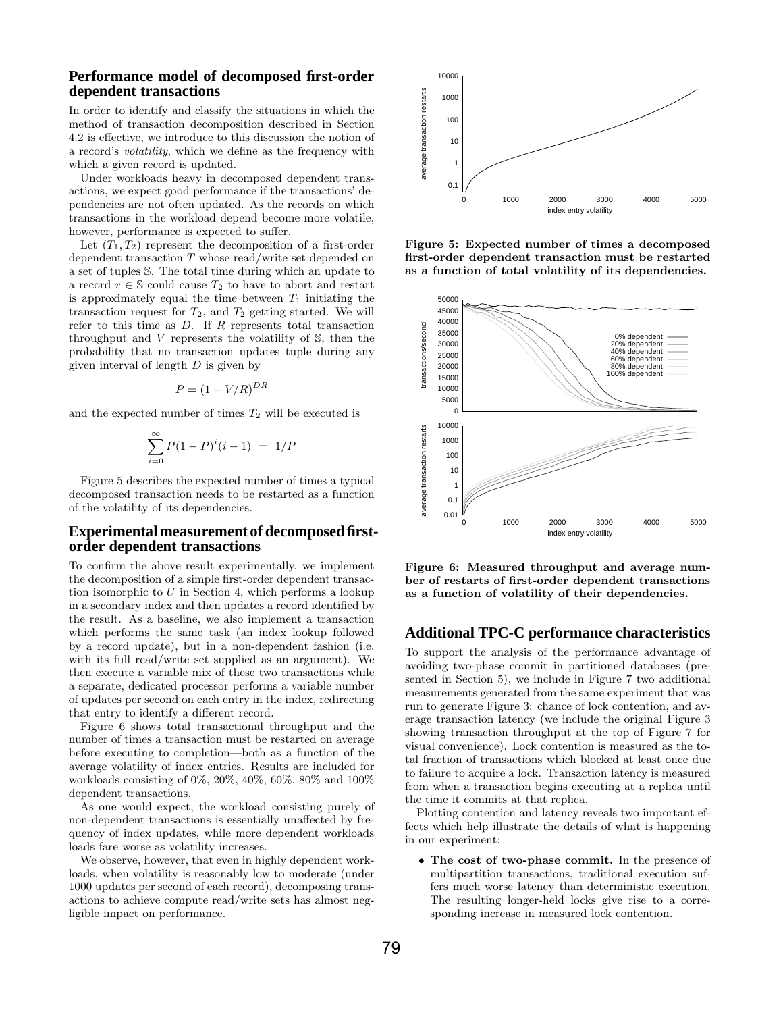## **Performance model of decomposed first-order dependent transactions**

In order to identify and classify the situations in which the method of transaction decomposition described in Section 4.2 is effective, we introduce to this discussion the notion of a record's volatility, which we define as the frequency with which a given record is updated.

Under workloads heavy in decomposed dependent transactions, we expect good performance if the transactions' dependencies are not often updated. As the records on which transactions in the workload depend become more volatile, however, performance is expected to suffer.

Let  $(T_1, T_2)$  represent the decomposition of a first-order dependent transaction T whose read/write set depended on a set of tuples S. The total time during which an update to a record  $r \in \mathbb{S}$  could cause  $T_2$  to have to abort and restart is approximately equal the time between  $T_1$  initiating the transaction request for  $T_2$ , and  $T_2$  getting started. We will refer to this time as  $D$ . If  $R$  represents total transaction throughput and  $V$  represents the volatility of  $\mathbb{S}$ , then the probability that no transaction updates tuple during any given interval of length  $D$  is given by

$$
P = (1 - V/R)^{DR}
$$

and the expected number of times  $T_2$  will be executed is

$$
\sum_{i=0}^{\infty} P(1-P)^{i}(i-1) = 1/P
$$

Figure 5 describes the expected number of times a typical decomposed transaction needs to be restarted as a function of the volatility of its dependencies.

#### **Experimental measurement of decomposed firstorder dependent transactions**

To confirm the above result experimentally, we implement the decomposition of a simple first-order dependent transaction isomorphic to  $U$  in Section 4, which performs a lookup in a secondary index and then updates a record identified by the result. As a baseline, we also implement a transaction which performs the same task (an index lookup followed by a record update), but in a non-dependent fashion (i.e. with its full read/write set supplied as an argument). We then execute a variable mix of these two transactions while a separate, dedicated processor performs a variable number of updates per second on each entry in the index, redirecting that entry to identify a different record.

Figure 6 shows total transactional throughput and the number of times a transaction must be restarted on average before executing to completion—both as a function of the average volatility of index entries. Results are included for workloads consisting of 0%, 20%, 40%, 60%, 80% and 100% dependent transactions.

As one would expect, the workload consisting purely of non-dependent transactions is essentially unaffected by frequency of index updates, while more dependent workloads loads fare worse as volatility increases.

We observe, however, that even in highly dependent workloads, when volatility is reasonably low to moderate (under 1000 updates per second of each record), decomposing transactions to achieve compute read/write sets has almost negligible impact on performance.



Figure 5: Expected number of times a decomposed first-order dependent transaction must be restarted as a function of total volatility of its dependencies.



Figure 6: Measured throughput and average number of restarts of first-order dependent transactions as a function of volatility of their dependencies.

# **Additional TPC-C performance characteristics**

To support the analysis of the performance advantage of avoiding two-phase commit in partitioned databases (presented in Section 5), we include in Figure 7 two additional measurements generated from the same experiment that was run to generate Figure 3: chance of lock contention, and average transaction latency (we include the original Figure 3 showing transaction throughput at the top of Figure 7 for visual convenience). Lock contention is measured as the total fraction of transactions which blocked at least once due to failure to acquire a lock. Transaction latency is measured from when a transaction begins executing at a replica until the time it commits at that replica.

Plotting contention and latency reveals two important effects which help illustrate the details of what is happening in our experiment:

• The cost of two-phase commit. In the presence of multipartition transactions, traditional execution suffers much worse latency than deterministic execution. The resulting longer-held locks give rise to a corresponding increase in measured lock contention.